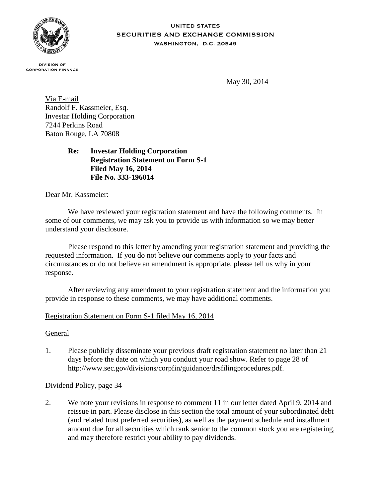

#### **UNITED STATES SECURITIES AND EXCHANGE COMMISSION** WASHINGTON, D.C. 20549

**DIVISION OF CORPORATION FINANCE** 

May 30, 2014

Via E-mail Randolf F. Kassmeier, Esq. Investar Holding Corporation 7244 Perkins Road Baton Rouge, LA 70808

## **Re: Investar Holding Corporation Registration Statement on Form S-1 Filed May 16, 2014 File No. 333-196014**

Dear Mr. Kassmeier:

We have reviewed your registration statement and have the following comments. In some of our comments, we may ask you to provide us with information so we may better understand your disclosure.

Please respond to this letter by amending your registration statement and providing the requested information. If you do not believe our comments apply to your facts and circumstances or do not believe an amendment is appropriate, please tell us why in your response.

After reviewing any amendment to your registration statement and the information you provide in response to these comments, we may have additional comments.

# Registration Statement on Form S-1 filed May 16, 2014

### General

1. Please publicly disseminate your previous draft registration statement no later than 21 days before the date on which you conduct your road show. Refer to page 28 of http://www.sec.gov/divisions/corpfin/guidance/drsfilingprocedures.pdf.

# Dividend Policy, page 34

2. We note your revisions in response to comment 11 in our letter dated April 9, 2014 and reissue in part. Please disclose in this section the total amount of your subordinated debt (and related trust preferred securities), as well as the payment schedule and installment amount due for all securities which rank senior to the common stock you are registering, and may therefore restrict your ability to pay dividends.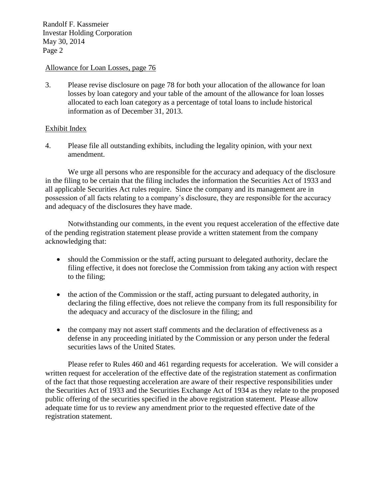Randolf F. Kassmeier Investar Holding Corporation May 30, 2014 Page 2

#### Allowance for Loan Losses, page 76

3. Please revise disclosure on page 78 for both your allocation of the allowance for loan losses by loan category and your table of the amount of the allowance for loan losses allocated to each loan category as a percentage of total loans to include historical information as of December 31, 2013.

### Exhibit Index

4. Please file all outstanding exhibits, including the legality opinion, with your next amendment.

We urge all persons who are responsible for the accuracy and adequacy of the disclosure in the filing to be certain that the filing includes the information the Securities Act of 1933 and all applicable Securities Act rules require. Since the company and its management are in possession of all facts relating to a company's disclosure, they are responsible for the accuracy and adequacy of the disclosures they have made.

Notwithstanding our comments, in the event you request acceleration of the effective date of the pending registration statement please provide a written statement from the company acknowledging that:

- should the Commission or the staff, acting pursuant to delegated authority, declare the filing effective, it does not foreclose the Commission from taking any action with respect to the filing;
- the action of the Commission or the staff, acting pursuant to delegated authority, in declaring the filing effective, does not relieve the company from its full responsibility for the adequacy and accuracy of the disclosure in the filing; and
- the company may not assert staff comments and the declaration of effectiveness as a defense in any proceeding initiated by the Commission or any person under the federal securities laws of the United States.

Please refer to Rules 460 and 461 regarding requests for acceleration. We will consider a written request for acceleration of the effective date of the registration statement as confirmation of the fact that those requesting acceleration are aware of their respective responsibilities under the Securities Act of 1933 and the Securities Exchange Act of 1934 as they relate to the proposed public offering of the securities specified in the above registration statement. Please allow adequate time for us to review any amendment prior to the requested effective date of the registration statement.